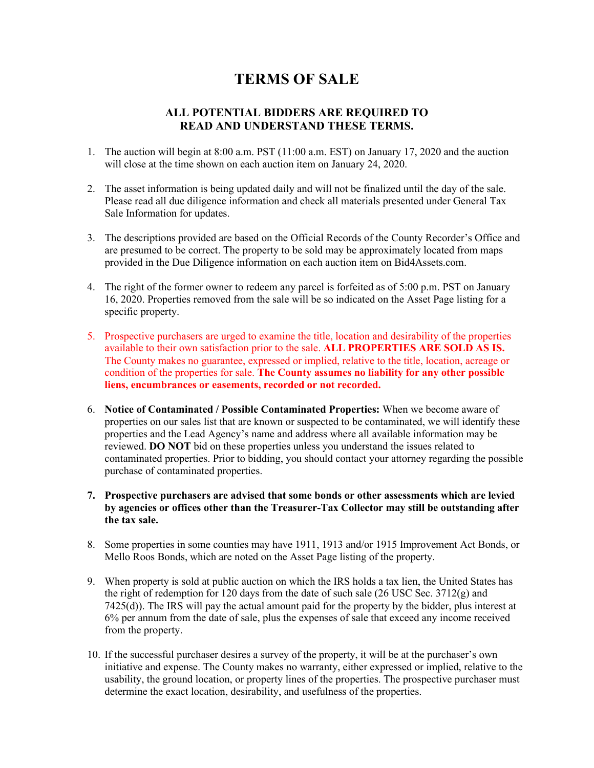## **TERMS OF SALE**

## **ALL POTENTIAL BIDDERS ARE REQUIRED TO READ AND UNDERSTAND THESE TERMS.**

- 1. The auction will begin at 8:00 a.m. PST (11:00 a.m. EST) on January 17, 2020 and the auction will close at the time shown on each auction item on January 24, 2020.
- 2. The asset information is being updated daily and will not be finalized until the day of the sale. Please read all due diligence information and check all materials presented under General Tax Sale Information for updates.
- 3. The descriptions provided are based on the Official Records of the County Recorder's Office and are presumed to be correct. The property to be sold may be approximately located from maps provided in the Due Diligence information on each auction item on Bid4Assets.com.
- 4. The right of the former owner to redeem any parcel is forfeited as of 5:00 p.m. PST on January 16, 2020. Properties removed from the sale will be so indicated on the Asset Page listing for a specific property.
- 5. Prospective purchasers are urged to examine the title, location and desirability of the properties available to their own satisfaction prior to the sale. **ALL PROPERTIES ARE SOLD AS IS.**  The County makes no guarantee, expressed or implied, relative to the title, location, acreage or condition of the properties for sale. **The County assumes no liability for any other possible liens, encumbrances or easements, recorded or not recorded.**
- 6. **Notice of Contaminated / Possible Contaminated Properties:** When we become aware of properties on our sales list that are known or suspected to be contaminated, we will identify these properties and the Lead Agency's name and address where all available information may be reviewed. **DO NOT** bid on these properties unless you understand the issues related to contaminated properties. Prior to bidding, you should contact your attorney regarding the possible purchase of contaminated properties.
- **7. Prospective purchasers are advised that some bonds or other assessments which are levied by agencies or offices other than the Treasurer-Tax Collector may still be outstanding after the tax sale.**
- 8. Some properties in some counties may have 1911, 1913 and/or 1915 Improvement Act Bonds, or Mello Roos Bonds, which are noted on the Asset Page listing of the property.
- 9. When property is sold at public auction on which the IRS holds a tax lien, the United States has the right of redemption for 120 days from the date of such sale  $(26 \text{ USC} \text{ Sec. } 3712 \text{(g)}$  and 7425(d)). The IRS will pay the actual amount paid for the property by the bidder, plus interest at 6% per annum from the date of sale, plus the expenses of sale that exceed any income received from the property.
- 10. If the successful purchaser desires a survey of the property, it will be at the purchaser's own initiative and expense. The County makes no warranty, either expressed or implied, relative to the usability, the ground location, or property lines of the properties. The prospective purchaser must determine the exact location, desirability, and usefulness of the properties.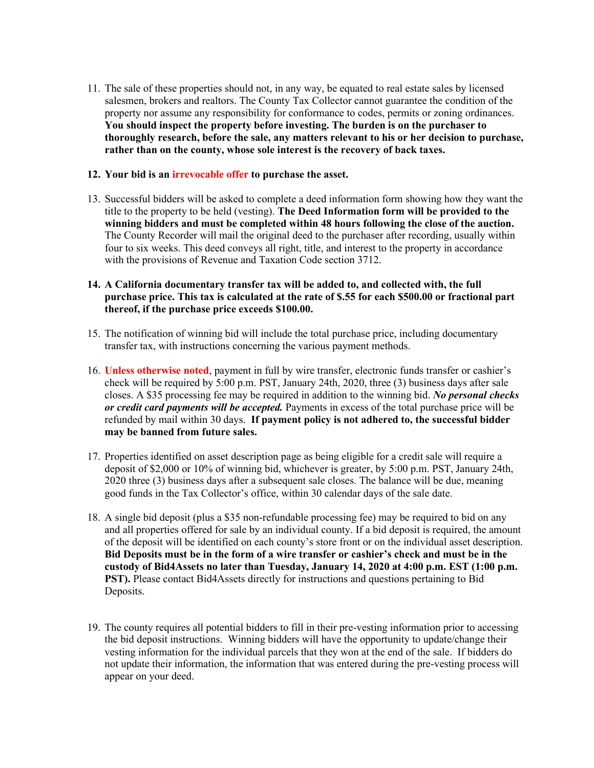11. The sale of these properties should not, in any way, be equated to real estate sales by licensed salesmen, brokers and realtors. The County Tax Collector cannot guarantee the condition of the property nor assume any responsibility for conformance to codes, permits or zoning ordinances. **You should inspect the property before investing. The burden is on the purchaser to thoroughly research, before the sale, any matters relevant to his or her decision to purchase, rather than on the county, whose sole interest is the recovery of back taxes.**

## **12. Your bid is an irrevocable offer to purchase the asset.**

- 13. Successful bidders will be asked to complete a deed information form showing how they want the title to the property to be held (vesting). **The Deed Information form will be provided to the winning bidders and must be completed within 48 hours following the close of the auction.**  The County Recorder will mail the original deed to the purchaser after recording, usually within four to six weeks. This deed conveys all right, title, and interest to the property in accordance with the provisions of Revenue and Taxation Code section 3712.
- **14. A California documentary transfer tax will be added to, and collected with, the full purchase price. This tax is calculated at the rate of \$.55 for each \$500.00 or fractional part thereof, if the purchase price exceeds \$100.00.**
- 15. The notification of winning bid will include the total purchase price, including documentary transfer tax, with instructions concerning the various payment methods.
- 16. **Unless otherwise noted**, payment in full by wire transfer, electronic funds transfer or cashier's check will be required by 5:00 p.m. PST, January 24th, 2020, three (3) business days after sale closes. A \$35 processing fee may be required in addition to the winning bid. *No personal checks or credit card payments will be accepted.* Payments in excess of the total purchase price will be refunded by mail within 30 days. **If payment policy is not adhered to, the successful bidder may be banned from future sales.**
- 17. Properties identified on asset description page as being eligible for a credit sale will require a deposit of \$2,000 or 10% of winning bid, whichever is greater, by 5:00 p.m. PST, January 24th, 2020 three (3) business days after a subsequent sale closes. The balance will be due, meaning good funds in the Tax Collector's office, within 30 calendar days of the sale date.
- 18. A single bid deposit (plus a \$35 non-refundable processing fee) may be required to bid on any and all properties offered for sale by an individual county. If a bid deposit is required, the amount of the deposit will be identified on each county's store front or on the individual asset description. **Bid Deposits must be in the form of a wire transfer or cashier's check and must be in the custody of Bid4Assets no later than Tuesday, January 14, 2020 at 4:00 p.m. EST (1:00 p.m. PST).** Please contact Bid4Assets directly for instructions and questions pertaining to Bid Deposits.
- 19. The county requires all potential bidders to fill in their pre-vesting information prior to accessing the bid deposit instructions. Winning bidders will have the opportunity to update/change their vesting information for the individual parcels that they won at the end of the sale. If bidders do not update their information, the information that was entered during the pre-vesting process will appear on your deed.